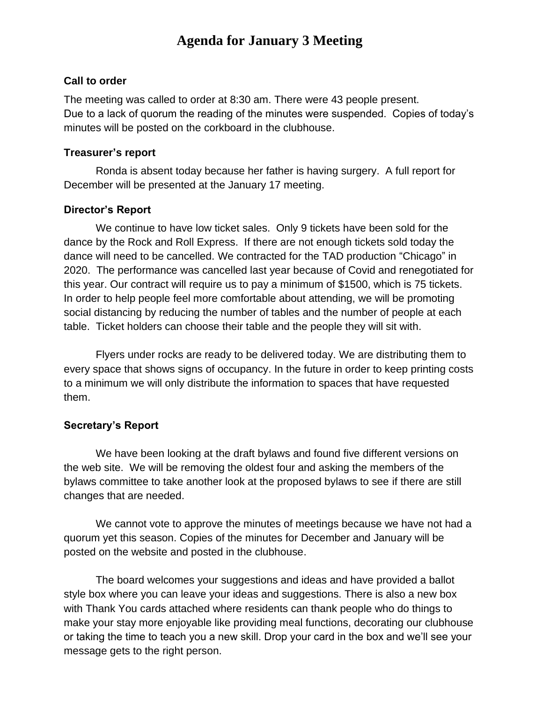# **Agenda for January 3 Meeting**

#### **Call to order**

The meeting was called to order at 8:30 am. There were 43 people present. Due to a lack of quorum the reading of the minutes were suspended. Copies of today's minutes will be posted on the corkboard in the clubhouse.

#### **Treasurer's report**

Ronda is absent today because her father is having surgery. A full report for December will be presented at the January 17 meeting.

## **Director's Report**

We continue to have low ticket sales. Only 9 tickets have been sold for the dance by the Rock and Roll Express. If there are not enough tickets sold today the dance will need to be cancelled. We contracted for the TAD production "Chicago" in 2020. The performance was cancelled last year because of Covid and renegotiated for this year. Our contract will require us to pay a minimum of \$1500, which is 75 tickets. In order to help people feel more comfortable about attending, we will be promoting social distancing by reducing the number of tables and the number of people at each table. Ticket holders can choose their table and the people they will sit with.

Flyers under rocks are ready to be delivered today. We are distributing them to every space that shows signs of occupancy. In the future in order to keep printing costs to a minimum we will only distribute the information to spaces that have requested them.

## **Secretary's Report**

We have been looking at the draft bylaws and found five different versions on the web site. We will be removing the oldest four and asking the members of the bylaws committee to take another look at the proposed bylaws to see if there are still changes that are needed.

We cannot vote to approve the minutes of meetings because we have not had a quorum yet this season. Copies of the minutes for December and January will be posted on the website and posted in the clubhouse.

The board welcomes your suggestions and ideas and have provided a ballot style box where you can leave your ideas and suggestions. There is also a new box with Thank You cards attached where residents can thank people who do things to make your stay more enjoyable like providing meal functions, decorating our clubhouse or taking the time to teach you a new skill. Drop your card in the box and we'll see your message gets to the right person.